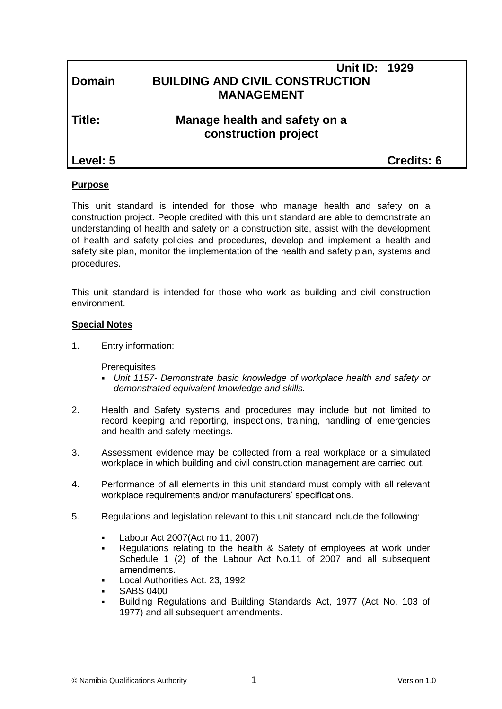## **Unit ID: 1929 Domain BUILDING AND CIVIL CONSTRUCTION MANAGEMENT**

## **Title: Manage health and safety on a construction project**

**Level: 5 Credits: 6**

### **Purpose**

This unit standard is intended for those who manage health and safety on a construction project. People credited with this unit standard are able to demonstrate an understanding of health and safety on a construction site, assist with the development of health and safety policies and procedures, develop and implement a health and safety site plan, monitor the implementation of the health and safety plan, systems and procedures.

This unit standard is intended for those who work as building and civil construction environment.

#### **Special Notes**

1. Entry information:

**Prerequisites** 

- *Unit 1157- Demonstrate basic knowledge of workplace health and safety or demonstrated equivalent knowledge and skills.*
- 2. Health and Safety systems and procedures may include but not limited to record keeping and reporting, inspections, training, handling of emergencies and health and safety meetings.
- 3. Assessment evidence may be collected from a real workplace or a simulated workplace in which building and civil construction management are carried out.
- 4. Performance of all elements in this unit standard must comply with all relevant workplace requirements and/or manufacturers' specifications.
- 5. Regulations and legislation relevant to this unit standard include the following:
	- Labour Act 2007(Act no 11, 2007)
	- Regulations relating to the health & Safety of employees at work under Schedule 1 (2) of the Labour Act No.11 of 2007 and all subsequent amendments.
	- Local Authorities Act. 23, 1992
	- SABS 0400
	- Building Regulations and Building Standards Act, 1977 (Act No. 103 of 1977) and all subsequent amendments.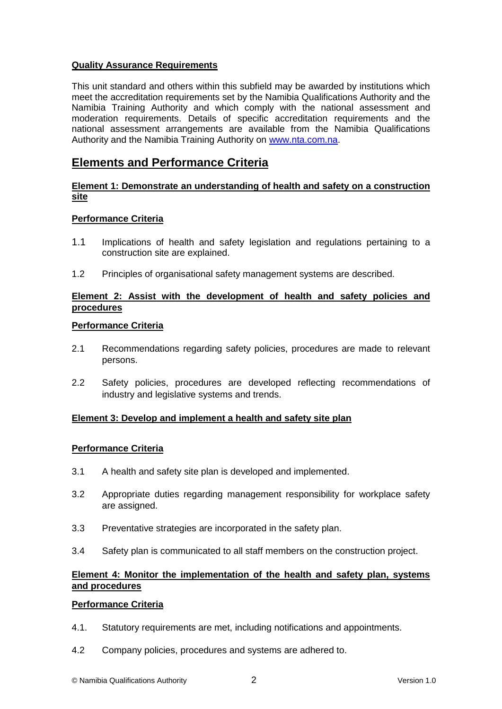## **Quality Assurance Requirements**

This unit standard and others within this subfield may be awarded by institutions which meet the accreditation requirements set by the Namibia Qualifications Authority and the Namibia Training Authority and which comply with the national assessment and moderation requirements. Details of specific accreditation requirements and the national assessment arrangements are available from the Namibia Qualifications Authority and the Namibia Training Authority on [www.nta.com.na.](http://www.nta.com.na/)

# **Elements and Performance Criteria**

#### **Element 1: Demonstrate an understanding of health and safety on a construction site**

### **Performance Criteria**

- 1.1 Implications of health and safety legislation and regulations pertaining to a construction site are explained.
- 1.2 Principles of organisational safety management systems are described.

#### **Element 2: Assist with the development of health and safety policies and procedures**

#### **Performance Criteria**

- 2.1 Recommendations regarding safety policies, procedures are made to relevant persons.
- 2.2 Safety policies, procedures are developed reflecting recommendations of industry and legislative systems and trends.

#### **Element 3: Develop and implement a health and safety site plan**

#### **Performance Criteria**

- 3.1 A health and safety site plan is developed and implemented.
- 3.2 Appropriate duties regarding management responsibility for workplace safety are assigned.
- 3.3 Preventative strategies are incorporated in the safety plan.
- 3.4 Safety plan is communicated to all staff members on the construction project.

#### **Element 4: Monitor the implementation of the health and safety plan, systems and procedures**

#### **Performance Criteria**

- 4.1. Statutory requirements are met, including notifications and appointments.
- 4.2 Company policies, procedures and systems are adhered to.